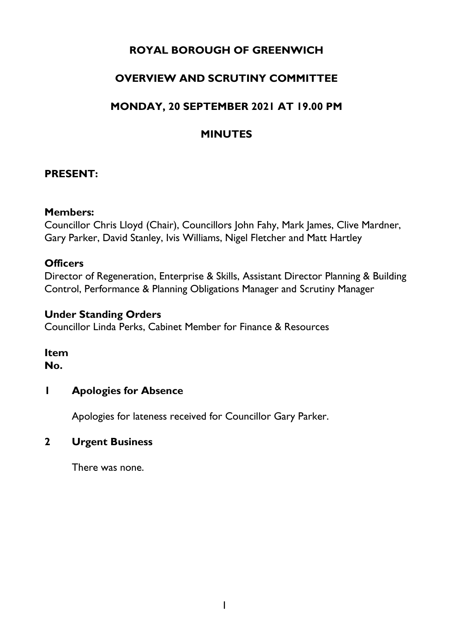# **ROYAL BOROUGH OF GREENWICH**

# **OVERVIEW AND SCRUTINY COMMITTEE**

# **MONDAY, 20 SEPTEMBER 2021 AT 19.00 PM**

# **MINUTES**

#### **PRESENT:**

#### **Members:**

Councillor Chris Lloyd (Chair), Councillors John Fahy, Mark James, Clive Mardner, Gary Parker, David Stanley, Ivis Williams, Nigel Fletcher and Matt Hartley

#### **Officers**

Director of Regeneration, Enterprise & Skills, Assistant Director Planning & Building Control, Performance & Planning Obligations Manager and Scrutiny Manager

#### **Under Standing Orders**

Councillor Linda Perks, Cabinet Member for Finance & Resources

#### **Item No.**

#### **1 Apologies for Absence**

Apologies for lateness received for Councillor Gary Parker.

#### **2 Urgent Business**

There was none.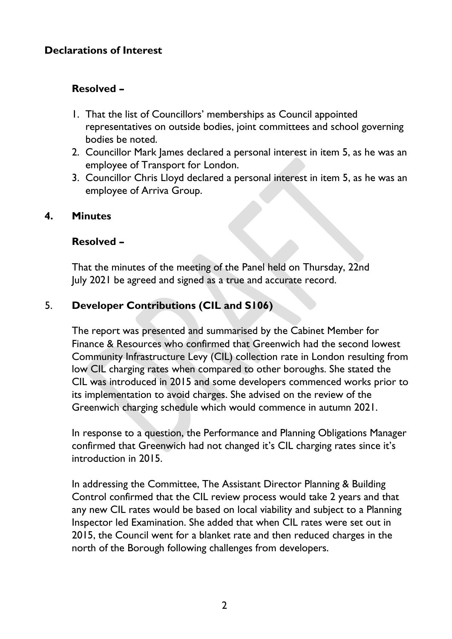### **Declarations of Interest**

### **Resolved –**

- 1. That the list of Councillors' memberships as Council appointed representatives on outside bodies, joint committees and school governing bodies be noted.
- 2. Councillor Mark James declared a personal interest in item 5, as he was an employee of Transport for London.
- 3. Councillor Chris Lloyd declared a personal interest in item 5, as he was an employee of Arriva Group.

#### **4. Minutes**

#### **Resolved –**

That the minutes of the meeting of the Panel held on Thursday, 22nd July 2021 be agreed and signed as a true and accurate record.

# 5. **Developer Contributions (CIL and S106)**

The report was presented and summarised by the Cabinet Member for Finance & Resources who confirmed that Greenwich had the second lowest Community Infrastructure Levy (CIL) collection rate in London resulting from low CIL charging rates when compared to other boroughs. She stated the CIL was introduced in 2015 and some developers commenced works prior to its implementation to avoid charges. She advised on the review of the Greenwich charging schedule which would commence in autumn 2021.

In response to a question, the Performance and Planning Obligations Manager confirmed that Greenwich had not changed it's CIL charging rates since it's introduction in 2015.

In addressing the Committee, The Assistant Director Planning & Building Control confirmed that the CIL review process would take 2 years and that any new CIL rates would be based on local viability and subject to a Planning Inspector led Examination. She added that when CIL rates were set out in 2015, the Council went for a blanket rate and then reduced charges in the north of the Borough following challenges from developers.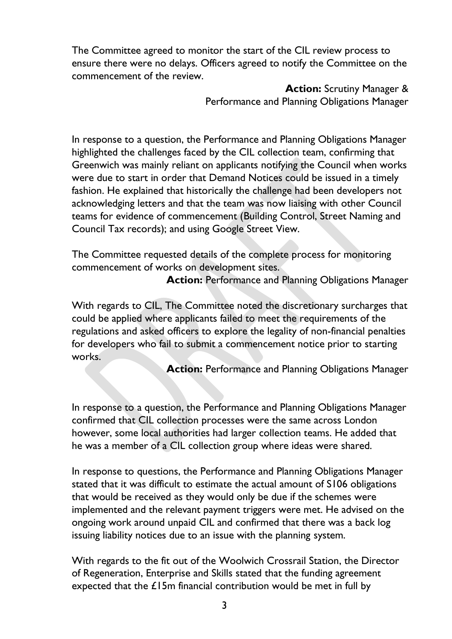The Committee agreed to monitor the start of the CIL review process to ensure there were no delays. Officers agreed to notify the Committee on the commencement of the review.

> **Action:** Scrutiny Manager & Performance and Planning Obligations Manager

In response to a question, the Performance and Planning Obligations Manager highlighted the challenges faced by the CIL collection team, confirming that Greenwich was mainly reliant on applicants notifying the Council when works were due to start in order that Demand Notices could be issued in a timely fashion. He explained that historically the challenge had been developers not acknowledging letters and that the team was now liaising with other Council teams for evidence of commencement (Building Control, Street Naming and Council Tax records); and using Google Street View.

The Committee requested details of the complete process for monitoring commencement of works on development sites.

**Action: Performance and Planning Obligations Manager** 

With regards to CIL, The Committee noted the discretionary surcharges that could be applied where applicants failed to meet the requirements of the regulations and asked officers to explore the legality of non-financial penalties for developers who fail to submit a commencement notice prior to starting works.

Action: Performance and Planning Obligations Manager

In response to a question, the Performance and Planning Obligations Manager confirmed that CIL collection processes were the same across London however, some local authorities had larger collection teams. He added that he was a member of a CIL collection group where ideas were shared.

In response to questions, the Performance and Planning Obligations Manager stated that it was difficult to estimate the actual amount of S106 obligations that would be received as they would only be due if the schemes were implemented and the relevant payment triggers were met. He advised on the ongoing work around unpaid CIL and confirmed that there was a back log issuing liability notices due to an issue with the planning system.

With regards to the fit out of the Woolwich Crossrail Station, the Director of Regeneration, Enterprise and Skills stated that the funding agreement expected that the  $£15m$  financial contribution would be met in full by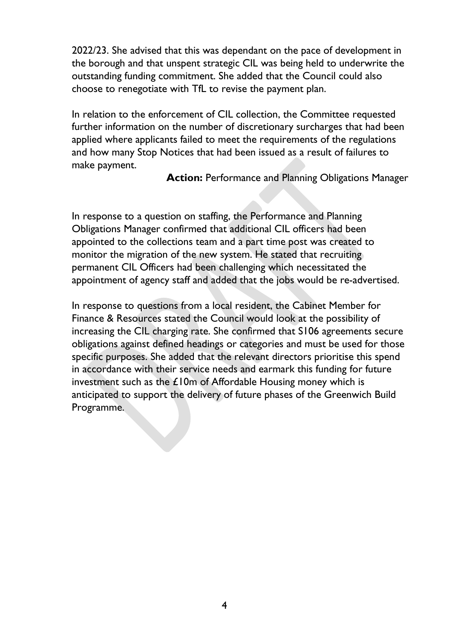2022/23. She advised that this was dependant on the pace of development in the borough and that unspent strategic CIL was being held to underwrite the outstanding funding commitment. She added that the Council could also choose to renegotiate with TfL to revise the payment plan.

In relation to the enforcement of CIL collection, the Committee requested further information on the number of discretionary surcharges that had been applied where applicants failed to meet the requirements of the regulations and how many Stop Notices that had been issued as a result of failures to make payment.

**Action:** Performance and Planning Obligations Manager

In response to a question on staffing, the Performance and Planning Obligations Manager confirmed that additional CIL officers had been appointed to the collections team and a part time post was created to monitor the migration of the new system. He stated that recruiting permanent CIL Officers had been challenging which necessitated the appointment of agency staff and added that the jobs would be re-advertised.

In response to questions from a local resident, the Cabinet Member for Finance & Resources stated the Council would look at the possibility of increasing the CIL charging rate. She confirmed that S106 agreements secure obligations against defined headings or categories and must be used for those specific purposes. She added that the relevant directors prioritise this spend in accordance with their service needs and earmark this funding for future investment such as the  $£10m$  of Affordable Housing money which is anticipated to support the delivery of future phases of the Greenwich Build Programme.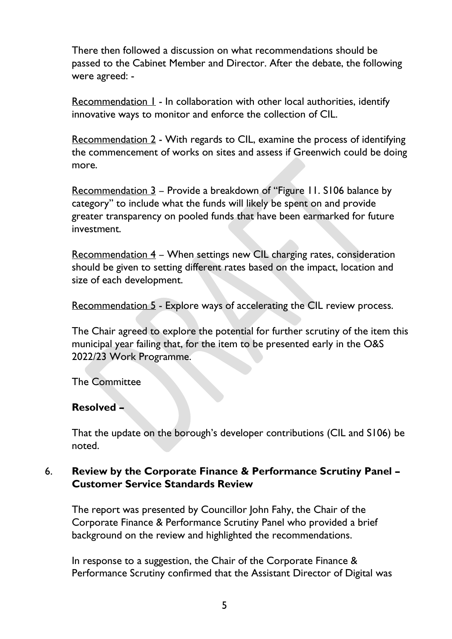There then followed a discussion on what recommendations should be passed to the Cabinet Member and Director. After the debate, the following were agreed: -

Recommendation  $\mathbf{l}$  - In collaboration with other local authorities, identify innovative ways to monitor and enforce the collection of CIL.

Recommendation 2 - With regards to CIL, examine the process of identifying the commencement of works on sites and assess if Greenwich could be doing more.

Recommendation 3 – Provide a breakdown of "Figure 11. S106 balance by category" to include what the funds will likely be spent on and provide greater transparency on pooled funds that have been earmarked for future investment.

Recommendation 4 – When settings new CIL charging rates, consideration should be given to setting different rates based on the impact, location and size of each development.

Recommendation 5 - Explore ways of accelerating the CIL review process.

The Chair agreed to explore the potential for further scrutiny of the item this municipal year failing that, for the item to be presented early in the O&S 2022/23 Work Programme.

The Committee

# **Resolved –**

That the update on the borough's developer contributions (CIL and S106) be noted.

# 6. **Review by the Corporate Finance & Performance Scrutiny Panel – Customer Service Standards Review**

The report was presented by Councillor John Fahy, the Chair of the Corporate Finance & Performance Scrutiny Panel who provided a brief background on the review and highlighted the recommendations.

In response to a suggestion, the Chair of the Corporate Finance & Performance Scrutiny confirmed that the Assistant Director of Digital was